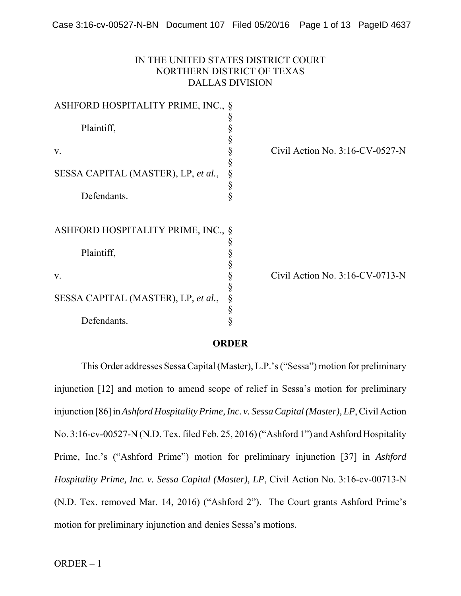# IN THE UNITED STATES DISTRICT COURT NORTHERN DISTRICT OF TEXAS DALLAS DIVISION

| ASHFORD HOSPITALITY PRIME, INC., §  |                                    |
|-------------------------------------|------------------------------------|
| Plaintiff,                          |                                    |
| V.                                  | Civil Action No. 3:16-CV-0527-N    |
| SESSA CAPITAL (MASTER), LP, et al., |                                    |
| Defendants.                         | §<br>Ş                             |
| ASHFORD HOSPITALITY PRIME, INC., §  |                                    |
| Plaintiff,                          |                                    |
| V.                                  | Civil Action No. $3:16$ -CV-0713-N |
| SESSA CAPITAL (MASTER), LP, et al., | §                                  |
| Defendants.                         |                                    |

### **ORDER**

This Order addresses Sessa Capital (Master), L.P.'s ("Sessa") motion for preliminary injunction [12] and motion to amend scope of relief in Sessa's motion for preliminary injunction [86] in *Ashford Hospitality Prime, Inc. v. Sessa Capital (Master), LP*, Civil Action No. 3:16-cv-00527-N (N.D. Tex. filed Feb. 25, 2016) ("Ashford 1") and Ashford Hospitality Prime, Inc.'s ("Ashford Prime") motion for preliminary injunction [37] in *Ashford Hospitality Prime, Inc. v. Sessa Capital (Master), LP*, Civil Action No. 3:16-cv-00713-N (N.D. Tex. removed Mar. 14, 2016) ("Ashford 2"). The Court grants Ashford Prime's motion for preliminary injunction and denies Sessa's motions.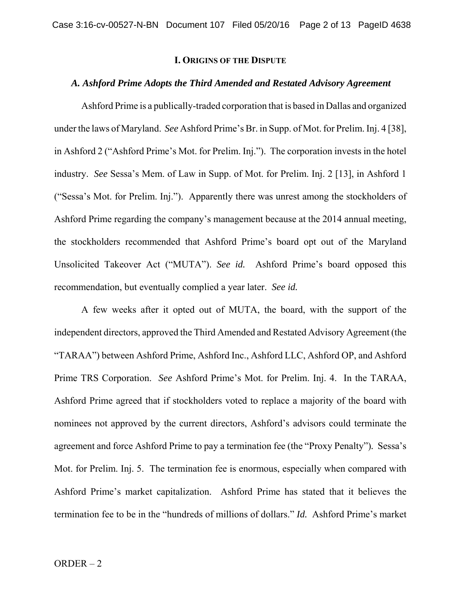#### **I. ORIGINS OF THE DISPUTE**

#### *A. Ashford Prime Adopts the Third Amended and Restated Advisory Agreement*

Ashford Prime is a publically-traded corporation that is based in Dallas and organized under the laws of Maryland. *See* Ashford Prime's Br. in Supp. of Mot. for Prelim. Inj. 4 [38], in Ashford 2 ("Ashford Prime's Mot. for Prelim. Inj."). The corporation invests in the hotel industry. *See* Sessa's Mem. of Law in Supp. of Mot. for Prelim. Inj. 2 [13], in Ashford 1 ("Sessa's Mot. for Prelim. Inj."). Apparently there was unrest among the stockholders of Ashford Prime regarding the company's management because at the 2014 annual meeting, the stockholders recommended that Ashford Prime's board opt out of the Maryland Unsolicited Takeover Act ("MUTA"). *See id.* Ashford Prime's board opposed this recommendation, but eventually complied a year later. *See id.* 

A few weeks after it opted out of MUTA, the board, with the support of the independent directors, approved the Third Amended and Restated Advisory Agreement (the "TARAA") between Ashford Prime, Ashford Inc., Ashford LLC, Ashford OP, and Ashford Prime TRS Corporation. *See* Ashford Prime's Mot. for Prelim. Inj. 4. In the TARAA, Ashford Prime agreed that if stockholders voted to replace a majority of the board with nominees not approved by the current directors, Ashford's advisors could terminate the agreement and force Ashford Prime to pay a termination fee (the "Proxy Penalty")*.* Sessa's Mot. for Prelim. Inj. 5. The termination fee is enormous, especially when compared with Ashford Prime's market capitalization. Ashford Prime has stated that it believes the termination fee to be in the "hundreds of millions of dollars." *Id.* Ashford Prime's market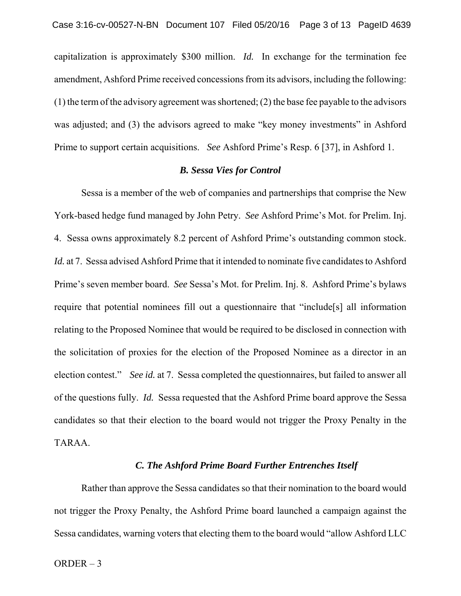capitalization is approximately \$300 million. *Id.* In exchange for the termination fee amendment, Ashford Prime received concessions from its advisors, including the following: (1) the term of the advisory agreement was shortened; (2) the base fee payable to the advisors was adjusted; and (3) the advisors agreed to make "key money investments" in Ashford Prime to support certain acquisitions. *See* Ashford Prime's Resp. 6 [37], in Ashford 1.

# *B. Sessa Vies for Control*

Sessa is a member of the web of companies and partnerships that comprise the New York-based hedge fund managed by John Petry. *See* Ashford Prime's Mot. for Prelim. Inj. 4. Sessa owns approximately 8.2 percent of Ashford Prime's outstanding common stock. *Id.* at 7.Sessa advised Ashford Prime that it intended to nominate five candidates to Ashford Prime's seven member board. *See* Sessa's Mot. for Prelim. Inj. 8.Ashford Prime's bylaws require that potential nominees fill out a questionnaire that "include[s] all information relating to the Proposed Nominee that would be required to be disclosed in connection with the solicitation of proxies for the election of the Proposed Nominee as a director in an election contest." *See id.* at 7. Sessa completed the questionnaires, but failed to answer all of the questions fully. *Id.* Sessa requested that the Ashford Prime board approve the Sessa candidates so that their election to the board would not trigger the Proxy Penalty in the TARAA.

### *C. The Ashford Prime Board Further Entrenches Itself*

Rather than approve the Sessa candidates so that their nomination to the board would not trigger the Proxy Penalty, the Ashford Prime board launched a campaign against the Sessa candidates, warning voters that electing them to the board would "allow Ashford LLC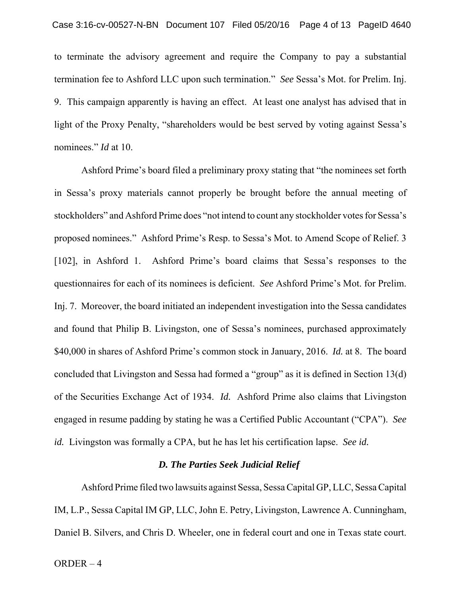to terminate the advisory agreement and require the Company to pay a substantial termination fee to Ashford LLC upon such termination." *See* Sessa's Mot. for Prelim. Inj. 9. This campaign apparently is having an effect. At least one analyst has advised that in light of the Proxy Penalty, "shareholders would be best served by voting against Sessa's nominees." *Id* at 10.

Ashford Prime's board filed a preliminary proxy stating that "the nominees set forth in Sessa's proxy materials cannot properly be brought before the annual meeting of stockholders" and Ashford Prime does "not intend to count any stockholder votes for Sessa's proposed nominees." Ashford Prime's Resp. to Sessa's Mot. to Amend Scope of Relief. 3 [102], in Ashford 1. Ashford Prime's board claims that Sessa's responses to the questionnaires for each of its nominees is deficient. *See* Ashford Prime's Mot. for Prelim. Inj. 7. Moreover, the board initiated an independent investigation into the Sessa candidates and found that Philip B. Livingston, one of Sessa's nominees, purchased approximately \$40,000 in shares of Ashford Prime's common stock in January, 2016. *Id.* at 8. The board concluded that Livingston and Sessa had formed a "group" as it is defined in Section 13(d) of the Securities Exchange Act of 1934. *Id.* Ashford Prime also claims that Livingston engaged in resume padding by stating he was a Certified Public Accountant ("CPA"). *See id.* Livingston was formally a CPA, but he has let his certification lapse. *See id.* 

### *D. The Parties Seek Judicial Relief*

Ashford Prime filed two lawsuits against Sessa, Sessa Capital GP, LLC, Sessa Capital IM, L.P., Sessa Capital IM GP, LLC, John E. Petry, Livingston, Lawrence A. Cunningham, Daniel B. Silvers, and Chris D. Wheeler, one in federal court and one in Texas state court.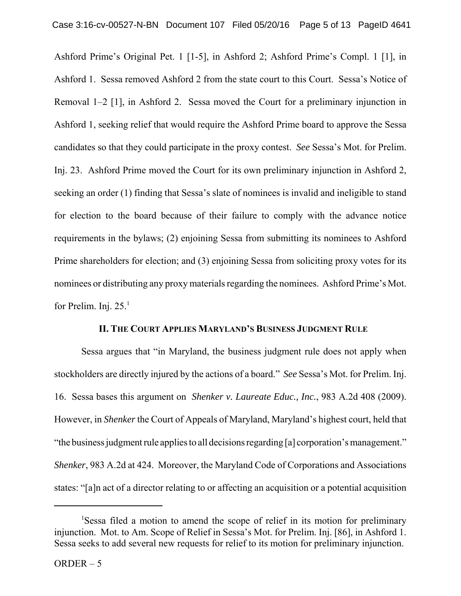Ashford Prime's Original Pet. 1 [1-5], in Ashford 2; Ashford Prime's Compl. 1 [1], in Ashford 1. Sessa removed Ashford 2 from the state court to this Court. Sessa's Notice of Removal 1–2 [1], in Ashford 2. Sessa moved the Court for a preliminary injunction in Ashford 1, seeking relief that would require the Ashford Prime board to approve the Sessa candidates so that they could participate in the proxy contest. *See* Sessa's Mot. for Prelim. Inj. 23. Ashford Prime moved the Court for its own preliminary injunction in Ashford 2, seeking an order (1) finding that Sessa's slate of nominees is invalid and ineligible to stand for election to the board because of their failure to comply with the advance notice requirements in the bylaws; (2) enjoining Sessa from submitting its nominees to Ashford Prime shareholders for election; and (3) enjoining Sessa from soliciting proxy votes for its nominees or distributing any proxy materials regarding the nominees. Ashford Prime's Mot. for Prelim. Inj.  $25.<sup>1</sup>$ 

#### **II. THE COURT APPLIES MARYLAND'S BUSINESS JUDGMENT RULE**

Sessa argues that "in Maryland, the business judgment rule does not apply when stockholders are directly injured by the actions of a board." *See* Sessa's Mot. for Prelim. Inj. 16. Sessa bases this argument on *Shenker v. Laureate Educ., Inc.*, 983 A.2d 408 (2009). However, in *Shenker* the Court of Appeals of Maryland, Maryland's highest court, held that "the business judgment rule applies to all decisions regarding [a] corporation's management." *Shenker*, 983 A.2d at 424. Moreover, the Maryland Code of Corporations and Associations states: "[a]n act of a director relating to or affecting an acquisition or a potential acquisition

<sup>&</sup>lt;sup>1</sup>Sessa filed a motion to amend the scope of relief in its motion for preliminary injunction. Mot. to Am. Scope of Relief in Sessa's Mot. for Prelim. Inj. [86], in Ashford 1. Sessa seeks to add several new requests for relief to its motion for preliminary injunction.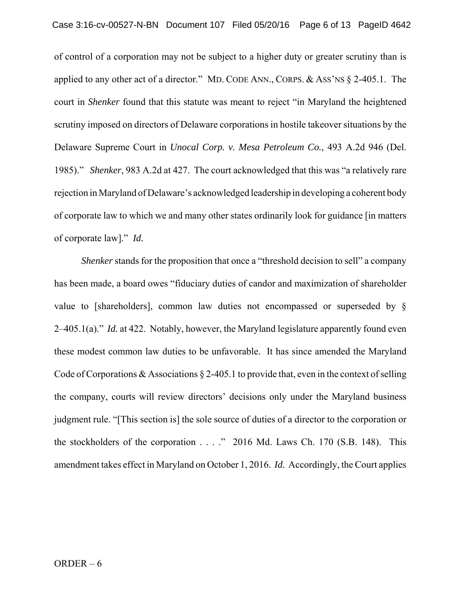of control of a corporation may not be subject to a higher duty or greater scrutiny than is applied to any other act of a director." MD. CODE ANN., CORPS. & ASS'NS § 2-405.1. The court in *Shenker* found that this statute was meant to reject "in Maryland the heightened scrutiny imposed on directors of Delaware corporations in hostile takeover situations by the Delaware Supreme Court in *Unocal Corp. v. Mesa Petroleum Co.*, 493 A.2d 946 (Del. 1985)." *Shenker*, 983 A.2d at 427. The court acknowledged that this was "a relatively rare rejection in Maryland of Delaware's acknowledged leadership in developing a coherent body of corporate law to which we and many other states ordinarily look for guidance [in matters of corporate law]." *Id.*

*Shenker* stands for the proposition that once a "threshold decision to sell" a company has been made, a board owes "fiduciary duties of candor and maximization of shareholder value to [shareholders], common law duties not encompassed or superseded by § 2–405.1(a)." *Id.* at 422. Notably, however, the Maryland legislature apparently found even these modest common law duties to be unfavorable. It has since amended the Maryland Code of Corporations & Associations  $\S$  2-405.1 to provide that, even in the context of selling the company, courts will review directors' decisions only under the Maryland business judgment rule. "[This section is] the sole source of duties of a director to the corporation or the stockholders of the corporation  $\ldots$  ." 2016 Md. Laws Ch. 170 (S.B. 148). This amendment takes effect in Maryland on October 1, 2016. *Id.* Accordingly, the Court applies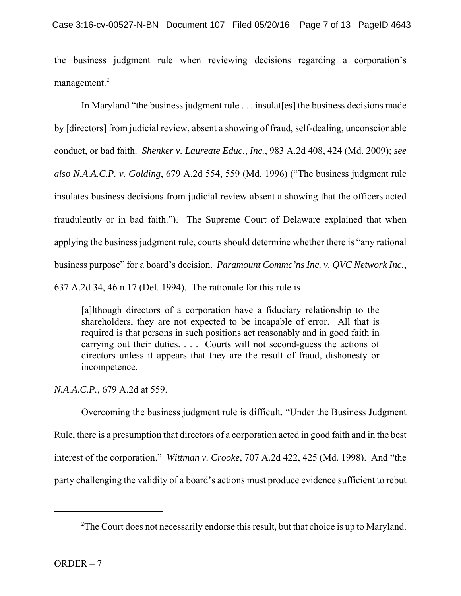the business judgment rule when reviewing decisions regarding a corporation's management.<sup>2</sup>

In Maryland "the business judgment rule . . . insulat[es] the business decisions made by [directors] from judicial review, absent a showing of fraud, self-dealing, unconscionable conduct, or bad faith.*Shenker v. Laureate Educ., Inc.*, 983 A.2d 408, 424 (Md. 2009); *see also N.A.A.C.P. v. Golding*, 679 A.2d 554, 559 (Md. 1996) ("The business judgment rule insulates business decisions from judicial review absent a showing that the officers acted fraudulently or in bad faith.").The Supreme Court of Delaware explained that when applying the business judgment rule, courts should determine whether there is "any rational business purpose" for a board's decision. *Paramount Commc'ns Inc. v. QVC Network Inc.*, 637 A.2d 34, 46 n.17 (Del. 1994). The rationale for this rule is

[a]lthough directors of a corporation have a fiduciary relationship to the shareholders, they are not expected to be incapable of error. All that is required is that persons in such positions act reasonably and in good faith in carrying out their duties. . . . Courts will not second-guess the actions of directors unless it appears that they are the result of fraud, dishonesty or incompetence.

*N.A.A.C.P.*, 679 A.2d at 559.

Overcoming the business judgment rule is difficult. "Under the Business Judgment Rule, there is a presumption that directors of a corporation acted in good faith and in the best interest of the corporation." *Wittman v. Crooke*, 707 A.2d 422, 425 (Md. 1998). And "the party challenging the validity of a board's actions must produce evidence sufficient to rebut

<sup>&</sup>lt;sup>2</sup>The Court does not necessarily endorse this result, but that choice is up to Maryland.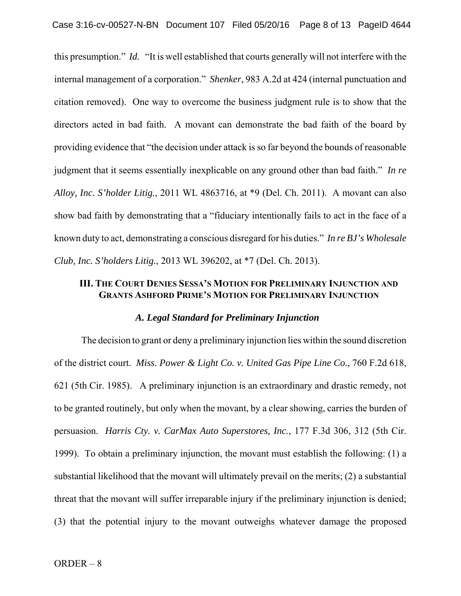this presumption." *Id.* "It is well established that courts generally will not interfere with the internal management of a corporation." *Shenker*, 983 A.2d at 424 (internal punctuation and citation removed). One way to overcome the business judgment rule is to show that the directors acted in bad faith. A movant can demonstrate the bad faith of the board by providing evidence that "the decision under attack is so far beyond the bounds of reasonable judgment that it seems essentially inexplicable on any ground other than bad faith." *In re Alloy, Inc. S'holder Litig.*, 2011 WL 4863716, at \*9 (Del. Ch. 2011). A movant can also show bad faith by demonstrating that a "fiduciary intentionally fails to act in the face of a known duty to act, demonstrating a conscious disregard for his duties." *In re BJ's Wholesale Club, Inc. S'holders Litig.*, 2013 WL 396202, at \*7 (Del. Ch. 2013).

# **III. THE COURT DENIES SESSA'S MOTION FOR PRELIMINARY INJUNCTION AND GRANTS ASHFORD PRIME'S MOTION FOR PRELIMINARY INJUNCTION**

## *A. Legal Standard for Preliminary Injunction*

The decision to grant or deny a preliminary injunction lies within the sound discretion of the district court. *Miss. Power & Light Co. v. United Gas Pipe Line Co.*, 760 F.2d 618, 621 (5th Cir. 1985). A preliminary injunction is an extraordinary and drastic remedy, not to be granted routinely, but only when the movant, by a clear showing, carries the burden of persuasion. *Harris Cty. v. CarMax Auto Superstores, Inc.*, 177 F.3d 306, 312 (5th Cir. 1999). To obtain a preliminary injunction, the movant must establish the following: (1) a substantial likelihood that the movant will ultimately prevail on the merits; (2) a substantial threat that the movant will suffer irreparable injury if the preliminary injunction is denied; (3) that the potential injury to the movant outweighs whatever damage the proposed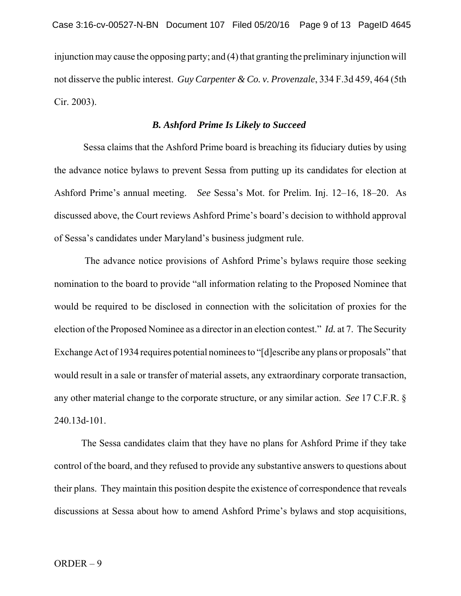injunction may cause the opposing party; and (4) that granting the preliminary injunction will not disserve the public interest. *Guy Carpenter & Co. v. Provenzale*, 334 F.3d 459, 464 (5th Cir. 2003).

#### *B. Ashford Prime Is Likely to Succeed*

 Sessa claims that the Ashford Prime board is breaching its fiduciary duties by using the advance notice bylaws to prevent Sessa from putting up its candidates for election at Ashford Prime's annual meeting. *See* Sessa's Mot. for Prelim. Inj. 12–16, 18–20. As discussed above, the Court reviews Ashford Prime's board's decision to withhold approval of Sessa's candidates under Maryland's business judgment rule.

The advance notice provisions of Ashford Prime's bylaws require those seeking nomination to the board to provide "all information relating to the Proposed Nominee that would be required to be disclosed in connection with the solicitation of proxies for the election of the Proposed Nominee as a director in an election contest." *Id.* at 7. The Security Exchange Act of 1934 requires potential nominees to "[d]escribe any plans or proposals" that would result in a sale or transfer of material assets, any extraordinary corporate transaction, any other material change to the corporate structure, or any similar action. *See* 17 C.F.R. § 240.13d-101.

The Sessa candidates claim that they have no plans for Ashford Prime if they take control of the board, and they refused to provide any substantive answers to questions about their plans. They maintain this position despite the existence of correspondence that reveals discussions at Sessa about how to amend Ashford Prime's bylaws and stop acquisitions,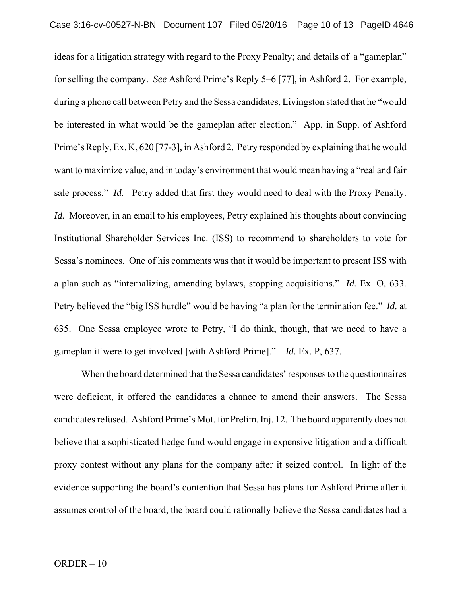ideas for a litigation strategy with regard to the Proxy Penalty; and details of a "gameplan" for selling the company. *See* Ashford Prime's Reply 5–6 [77], in Ashford 2. For example, during a phone call between Petry and the Sessa candidates, Livingston stated that he "would be interested in what would be the gameplan after election." App. in Supp. of Ashford Prime's Reply, Ex. K, 620 [77-3], in Ashford 2. Petry responded by explaining that he would want to maximize value, and in today's environment that would mean having a "real and fair sale process." *Id.* Petry added that first they would need to deal with the Proxy Penalty. *Id.* Moreover, in an email to his employees, Petry explained his thoughts about convincing Institutional Shareholder Services Inc. (ISS) to recommend to shareholders to vote for Sessa's nominees. One of his comments was that it would be important to present ISS with a plan such as "internalizing, amending bylaws, stopping acquisitions." *Id.* Ex. O, 633. Petry believed the "big ISS hurdle" would be having "a plan for the termination fee." *Id.* at 635. One Sessa employee wrote to Petry, "I do think, though, that we need to have a gameplan if were to get involved [with Ashford Prime]." *Id.* Ex. P, 637.

When the board determined that the Sessa candidates' responses to the questionnaires were deficient, it offered the candidates a chance to amend their answers. The Sessa candidates refused. Ashford Prime's Mot. for Prelim. Inj. 12. The board apparently does not believe that a sophisticated hedge fund would engage in expensive litigation and a difficult proxy contest without any plans for the company after it seized control. In light of the evidence supporting the board's contention that Sessa has plans for Ashford Prime after it assumes control of the board, the board could rationally believe the Sessa candidates had a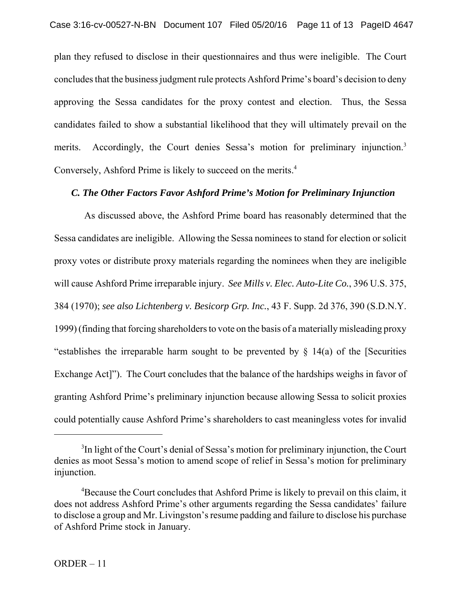plan they refused to disclose in their questionnaires and thus were ineligible. The Court concludes that the business judgment rule protects Ashford Prime's board's decision to deny approving the Sessa candidates for the proxy contest and election. Thus, the Sessa candidates failed to show a substantial likelihood that they will ultimately prevail on the merits. Accordingly, the Court denies Sessa's motion for preliminary injunction.<sup>3</sup> Conversely, Ashford Prime is likely to succeed on the merits.<sup>4</sup>

#### *C. The Other Factors Favor Ashford Prime's Motion for Preliminary Injunction*

 As discussed above, the Ashford Prime board has reasonably determined that the Sessa candidates are ineligible. Allowing the Sessa nominees to stand for election or solicit proxy votes or distribute proxy materials regarding the nominees when they are ineligible will cause Ashford Prime irreparable injury. *See Mills v. Elec. Auto-Lite Co.*, 396 U.S. 375, 384 (1970); *see also Lichtenberg v. Besicorp Grp. Inc.*, 43 F. Supp. 2d 376, 390 (S.D.N.Y. 1999) (finding that forcing shareholders to vote on the basis of a materially misleading proxy "establishes the irreparable harm sought to be prevented by  $\S$  14(a) of the [Securities Exchange Act]"). The Court concludes that the balance of the hardships weighs in favor of granting Ashford Prime's preliminary injunction because allowing Sessa to solicit proxies could potentially cause Ashford Prime's shareholders to cast meaningless votes for invalid

<sup>&</sup>lt;sup>3</sup>In light of the Court's denial of Sessa's motion for preliminary injunction, the Court denies as moot Sessa's motion to amend scope of relief in Sessa's motion for preliminary injunction.

<sup>&</sup>lt;sup>4</sup>Because the Court concludes that Ashford Prime is likely to prevail on this claim, it does not address Ashford Prime's other arguments regarding the Sessa candidates' failure to disclose a group and Mr. Livingston's resume padding and failure to disclose his purchase of Ashford Prime stock in January.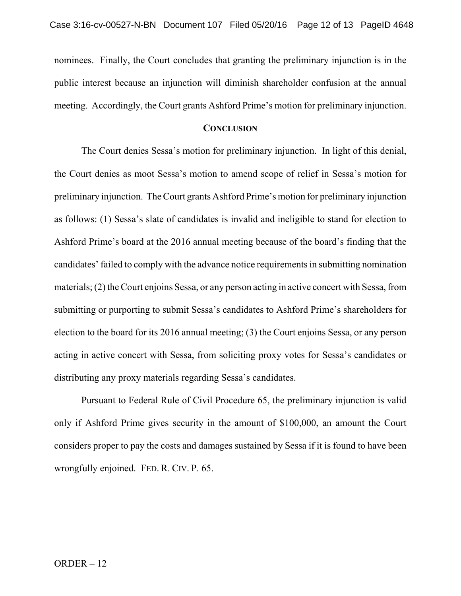nominees. Finally, the Court concludes that granting the preliminary injunction is in the public interest because an injunction will diminish shareholder confusion at the annual meeting. Accordingly, the Court grants Ashford Prime's motion for preliminary injunction.

### **CONCLUSION**

The Court denies Sessa's motion for preliminary injunction. In light of this denial, the Court denies as moot Sessa's motion to amend scope of relief in Sessa's motion for preliminary injunction. The Court grants Ashford Prime's motion for preliminary injunction as follows: (1) Sessa's slate of candidates is invalid and ineligible to stand for election to Ashford Prime's board at the 2016 annual meeting because of the board's finding that the candidates' failed to comply with the advance notice requirements in submitting nomination materials; (2) the Court enjoins Sessa, or any person acting in active concert with Sessa, from submitting or purporting to submit Sessa's candidates to Ashford Prime's shareholders for election to the board for its 2016 annual meeting; (3) the Court enjoins Sessa, or any person acting in active concert with Sessa, from soliciting proxy votes for Sessa's candidates or distributing any proxy materials regarding Sessa's candidates.

Pursuant to Federal Rule of Civil Procedure 65, the preliminary injunction is valid only if Ashford Prime gives security in the amount of \$100,000, an amount the Court considers proper to pay the costs and damages sustained by Sessa if it is found to have been wrongfully enjoined. FED. R. CIV. P. 65.